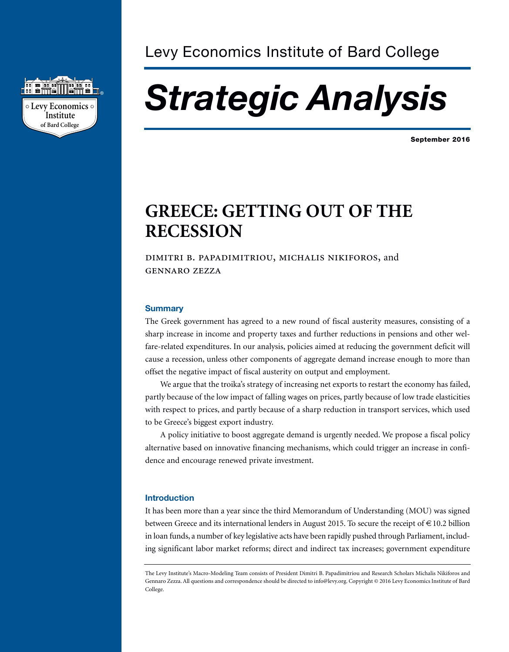

# *Strategic Analysis*

**September 2016**

# **GREECE: GETTING OUT OF THE RECESSION**

# DIMITRI B. PAPADIMITRIOU, MICHALIS NIKIFOROS, and **GENNARO ZEZZA**

#### **Summary**

The Greek government has agreed to a new round of fiscal austerity measures, consisting of a sharp increase in income and property taxes and further reductions in pensions and other welfare-related expenditures. In our analysis, policies aimed at reducing the government deficit will cause a recession, unless other components of aggregate demand increase enough to more than offset the negative impact of fiscal austerity on output and employment.

We argue that the troika's strategy of increasing net exports to restart the economy has failed, partly because of the low impact of falling wages on prices, partly because of low trade elasticities with respect to prices, and partly because of a sharp reduction in transport services, which used to be Greece's biggest export industry.

A policy initiative to boost aggregate demand is urgently needed. We propose a fiscal policy alternative based on innovative financing mechanisms, which could trigger an increase in confidence and encourage renewed private investment.

#### **Introduction**

It has been more than a year since the third Memorandum of Understanding (MOU) was signed between Greece and its international lenders in August 2015. To secure the receipt of  $\in$  10.2 billion in loan funds, a number of key legislative acts have been rapidly pushed through Parliament, including significant labor market reforms; direct and indirect tax increases; government expenditure

The Levy Institute's Macro-Modeling Team consists of President Dimitri B. Papadimitriou and Research Scholars Michalis Nikiforos and Gennaro Zezza.All questions and correspondence should be directed to info@levy.org. Copyright © 2016 Levy Economics Institute of Bard College.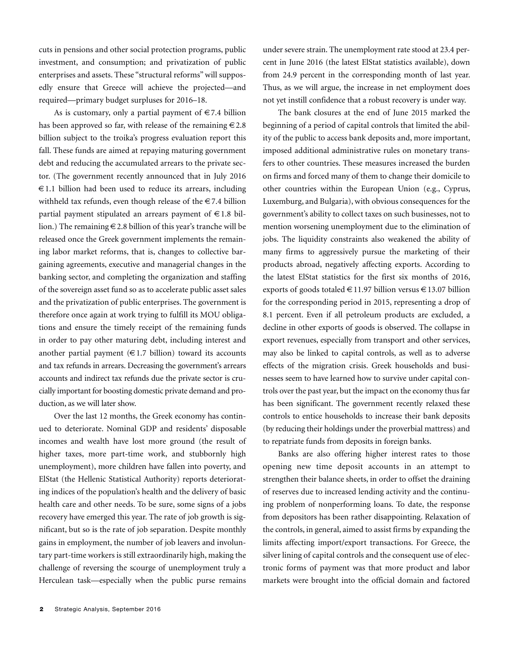cuts in pensions and other social protection programs, public investment, and consumption; and privatization of public enterprises and assets. These "structural reforms"will supposedly ensure that Greece will achieve the projected—and required—primary budget surpluses for 2016–18.

As is customary, only a partial payment of  $\in 7.4$  billion has been approved so far, with release of the remaining  $\epsilon$  2.8 billion subject to the troika's progress evaluation report this fall. These funds are aimed at repaying maturing government debt and reducing the accumulated arrears to the private sector. (The government recently announced that in July 2016  $\epsilon$ 1.1 billion had been used to reduce its arrears, including withheld tax refunds, even though release of the  $\in$  7.4 billion partial payment stipulated an arrears payment of  $\in$  1.8 billion.) The remaining  $\epsilon$  2.8 billion of this year's tranche will be released once the Greek government implements the remaining labor market reforms, that is, changes to collective bargaining agreements, executive and managerial changes in the banking sector, and completing the organization and staffing of the sovereign asset fund so as to accelerate public asset sales and the privatization of public enterprises. The government is therefore once again at work trying to fulfill its MOU obligations and ensure the timely receipt of the remaining funds in order to pay other maturing debt, including interest and another partial payment  $(€1.7 \text{ billion})$  toward its accounts and tax refunds in arrears. Decreasing the government's arrears accounts and indirect tax refunds due the private sector is crucially important for boosting domestic private demand and production, as we will later show.

Over the last 12 months, the Greek economy has continued to deteriorate. Nominal GDP and residents' disposable incomes and wealth have lost more ground (the result of higher taxes, more part-time work, and stubbornly high unemployment), more children have fallen into poverty, and ElStat (the Hellenic Statistical Authority) reports deteriorating indices of the population's health and the delivery of basic health care and other needs. To be sure, some signs of a jobs recovery have emerged this year. The rate of job growth is significant, but so is the rate of job separation. Despite monthly gains in employment, the number of job leavers and involuntary part-time workers is still extraordinarily high, making the challenge of reversing the scourge of unemployment truly a Herculean task—especially when the public purse remains

under severe strain. The unemployment rate stood at 23.4 percent in June 2016 (the latest ElStat statistics available), down from 24.9 percent in the corresponding month of last year. Thus, as we will argue, the increase in net employment does not yet instill confidence that a robust recovery is under way.

The bank closures at the end of June 2015 marked the beginning of a period of capital controls that limited the ability of the public to access bank deposits and, more important, imposed additional administrative rules on monetary transfers to other countries. These measures increased the burden on firms and forced many of them to change their domicile to other countries within the European Union (e.g., Cyprus, Luxemburg, and Bulgaria), with obvious consequences for the government's ability to collect taxes on such businesses, not to mention worsening unemployment due to the elimination of jobs. The liquidity constraints also weakened the ability of many firms to aggressively pursue the marketing of their products abroad, negatively affecting exports. According to the latest ElStat statistics for the first six months of 2016, exports of goods totaled  $\in$  11.97 billion versus  $\in$  13.07 billion for the corresponding period in 2015, representing a drop of 8.1 percent. Even if all petroleum products are excluded, a decline in other exports of goods is observed. The collapse in export revenues, especially from transport and other services, may also be linked to capital controls, as well as to adverse effects of the migration crisis. Greek households and businesses seem to have learned how to survive under capital controls over the past year, but the impact on the economy thus far has been significant. The government recently relaxed these controls to entice households to increase their bank deposits (by reducing their holdings under the proverbial mattress) and to repatriate funds from deposits in foreign banks.

Banks are also offering higher interest rates to those opening new time deposit accounts in an attempt to strengthen their balance sheets, in order to offset the draining of reserves due to increased lending activity and the continuing problem of nonperforming loans. To date, the response from depositors has been rather disappointing. Relaxation of the controls, in general, aimed to assist firms by expanding the limits affecting import/export transactions. For Greece, the silver lining of capital controls and the consequent use of electronic forms of payment was that more product and labor markets were brought into the official domain and factored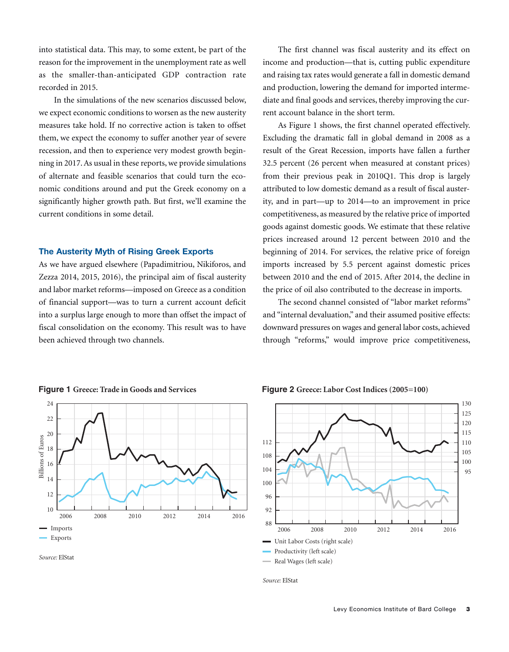into statistical data. This may, to some extent, be part of the reason for the improvement in the unemployment rate as well as the smaller-than-anticipated GDP contraction rate recorded in 2015.

In the simulations of the new scenarios discussed below, we expect economic conditions to worsen as the new austerity measures take hold. If no corrective action is taken to offset them, we expect the economy to suffer another year of severe recession, and then to experience very modest growth beginning in 2017. As usual in these reports, we provide simulations of alternate and feasible scenarios that could turn the economic conditions around and put the Greek economy on a significantly higher growth path. But first, we'll examine the current conditions in some detail.

#### **The Austerity Myth of Rising Greek Exports**

As we have argued elsewhere (Papadimitriou, Nikiforos, and Zezza 2014, 2015, 2016), the principal aim of fiscal austerity and labor market reforms—imposed on Greece as a condition of financial support—was to turn a current account deficit into a surplus large enough to more than offset the impact of fiscal consolidation on the economy. This result was to have been achieved through two channels.

The first channel was fiscal austerity and its effect on income and production—that is, cutting public expenditure and raising tax rates would generate a fall in domestic demand and production, lowering the demand for imported intermediate and final goods and services, thereby improving the current account balance in the short term.

As Figure 1 shows, the first channel operated effectively. Excluding the dramatic fall in global demand in 2008 as a result of the Great Recession, imports have fallen a further 32.5 percent (26 percent when measured at constant prices) from their previous peak in 2010Q1. This drop is largely attributed to low domestic demand as a result of fiscal austerity, and in part—up to 2014—to an improvement in price competitiveness, as measured by the relative price of imported goods against domestic goods. We estimate that these relative prices increased around 12 percent between 2010 and the beginning of 2014. For services, the relative price of foreign imports increased by 5.5 percent against domestic prices between 2010 and the end of 2015. After 2014, the decline in the price of oil also contributed to the decrease in imports.

The second channel consisted of "labor market reforms" and "internal devaluation," and their assumed positive effects: downward pressures on wages and general labor costs, achieved through "reforms," would improve price competitiveness,



**Figure 1 Greece: Trade in Goods and Services**

**Figure 2 Greece: Labor Cost Indices (2005=100)**



*Source:* ElStat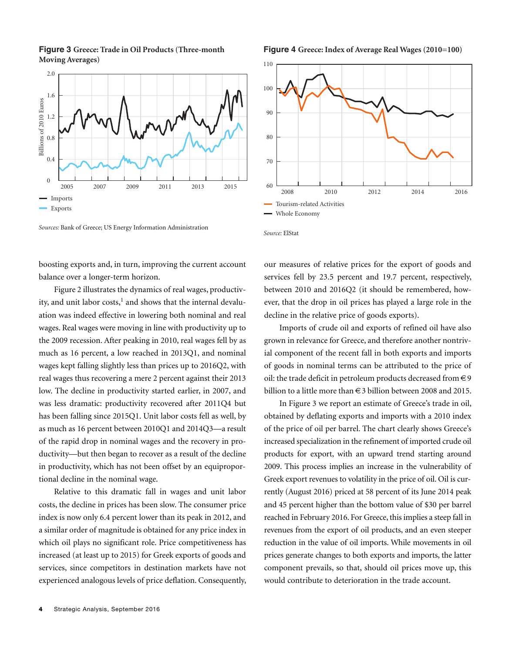**Figure 3 Greece: Trade in Oil Products (Three-month Moving Averages)**



*Sources:* Bank of Greece; US Energy Information Administration

boosting exports and, in turn, improving the current account balance over a longer-term horizon.

Figure 2 illustrates the dynamics of real wages, productivity, and unit labor costs,<sup>1</sup> and shows that the internal devaluation was indeed effective in lowering both nominal and real wages. Real wages were moving in line with productivity up to the 2009 recession. After peaking in 2010, real wages fell by as much as 16 percent, a low reached in 2013Q1, and nominal wages kept falling slightly less than prices up to 2016Q2, with real wages thus recovering a mere 2 percent against their 2013 low. The decline in productivity started earlier, in 2007, and was less dramatic: productivity recovered after 2011Q4 but has been falling since 2015Q1. Unit labor costs fell as well, by as much as 16 percent between 2010Q1 and 2014Q3—a result of the rapid drop in nominal wages and the recovery in productivity—but then began to recover as a result of the decline in productivity, which has not been offset by an equiproportional decline in the nominal wage.

Relative to this dramatic fall in wages and unit labor costs, the decline in prices has been slow. The consumer price index is now only 6.4 percent lower than its peak in 2012, and a similar order of magnitude is obtained for any price index in which oil plays no significant role. Price competitiveness has increased (at least up to 2015) for Greek exports of goods and services, since competitors in destination markets have not experienced analogous levels of price deflation. Consequently,

#### **Figure 4 Greece: Index of Average Real Wages (2010=100)**



*Source:* ElStat

our measures of relative prices for the export of goods and services fell by 23.5 percent and 19.7 percent, respectively, between 2010 and 2016Q2 (it should be remembered, however, that the drop in oil prices has played a large role in the decline in the relative price of goods exports).

Imports of crude oil and exports of refined oil have also grown in relevance for Greece, and therefore another nontrivial component of the recent fall in both exports and imports of goods in nominal terms can be attributed to the price of oil: the trade deficit in petroleum products decreased from  $\in$  9 billion to a little more than €3 billion between 2008 and 2015.

In Figure 3 we report an estimate of Greece's trade in oil, obtained by deflating exports and imports with a 2010 index of the price of oil per barrel. The chart clearly shows Greece's increased specialization in the refinement of imported crude oil products for export, with an upward trend starting around 2009. This process implies an increase in the vulnerability of Greek export revenues to volatility in the price of oil. Oil is currently (August 2016) priced at 58 percent of its June 2014 peak and 45 percent higher than the bottom value of \$30 per barrel reached in February 2016. For Greece, this implies a steep fall in revenues from the export of oil products, and an even steeper reduction in the value of oil imports. While movements in oil prices generate changes to both exports and imports, the latter component prevails, so that, should oil prices move up, this would contribute to deterioration in the trade account.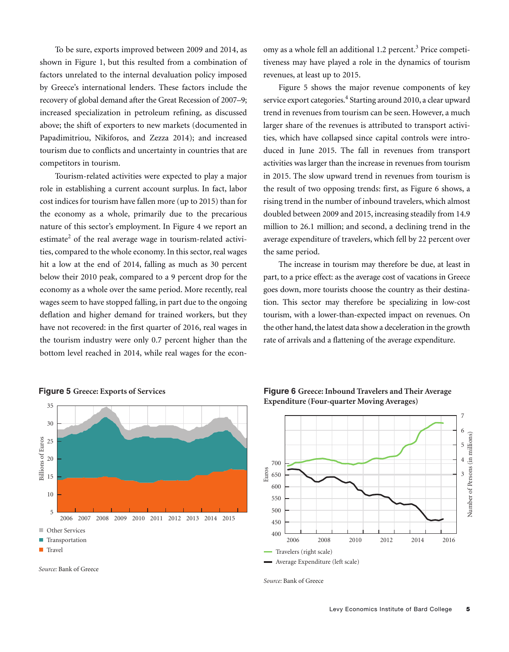To be sure, exports improved between 2009 and 2014, as shown in Figure 1, but this resulted from a combination of factors unrelated to the internal devaluation policy imposed by Greece's international lenders. These factors include the recovery of global demand after the Great Recession of 2007–9; increased specialization in petroleum refining, as discussed above; the shift of exporters to new markets (documented in Papadimitriou, Nikiforos, and Zezza 2014); and increased tourism due to conflicts and uncertainty in countries that are competitors in tourism.

Tourism-related activities were expected to play a major role in establishing a current account surplus. In fact, labor cost indices for tourism have fallen more (up to 2015) than for the economy as a whole, primarily due to the precarious nature of this sector's employment. In Figure 4 we report an estimate<sup>2</sup> of the real average wage in tourism-related activities, compared to the whole economy. In this sector, real wages hit a low at the end of 2014, falling as much as 30 percent below their 2010 peak, compared to a 9 percent drop for the economy as a whole over the same period. More recently, real wages seem to have stopped falling, in part due to the ongoing deflation and higher demand for trained workers, but they have not recovered: in the first quarter of 2016, real wages in the tourism industry were only 0.7 percent higher than the bottom level reached in 2014, while real wages for the econ-

omy as a whole fell an additional 1.2 percent. <sup>3</sup> Price competitiveness may have played a role in the dynamics of tourism revenues, at least up to 2015.

Figure 5 shows the major revenue components of key service export categories. <sup>4</sup> Starting around 2010, a clear upward trend in revenues from tourism can be seen. However, a much larger share of the revenues is attributed to transport activities, which have collapsed since capital controls were introduced in June 2015. The fall in revenues from transport activities was larger than the increase in revenues from tourism in 2015. The slow upward trend in revenues from tourism is the result of two opposing trends: first, as Figure 6 shows, a rising trend in the number of inbound travelers, which almost doubled between 2009 and 2015, increasing steadily from 14.9 million to 26.1 million; and second, a declining trend in the average expenditure of travelers, which fell by 22 percent over the same period.

The increase in tourism may therefore be due, at least in part, to a price effect: as the average cost of vacations in Greece goes down, more tourists choose the country as their destination. This sector may therefore be specializing in low-cost tourism, with a lower-than-expected impact on revenues. On the other hand, the latest data show a deceleration in the growth rate of arrivals and a flattening of the average expenditure.



**Figure 5 Greece: Exports of Services**



**Figure 6 Greece: Inbound Travelers and Their Average Expenditure (Four-quarter Moving Averages)**



*Source:* Bank of Greece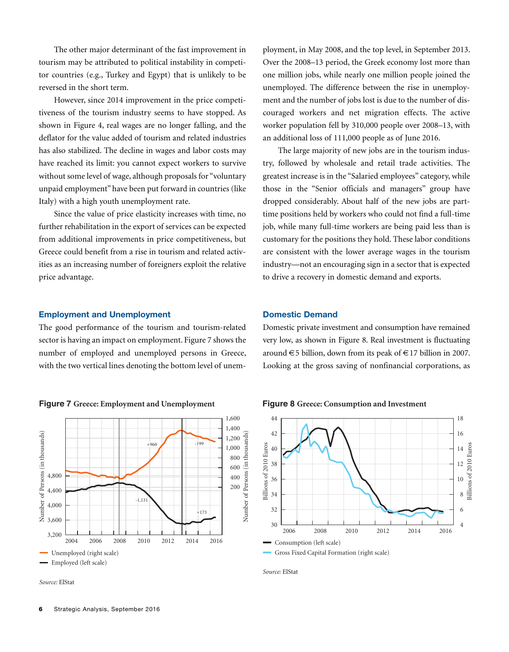The other major determinant of the fast improvement in tourism may be attributed to political instability in competitor countries (e.g., Turkey and Egypt) that is unlikely to be reversed in the short term.

However, since 2014 improvement in the price competitiveness of the tourism industry seems to have stopped. As shown in Figure 4, real wages are no longer falling, and the deflator for the value added of tourism and related industries has also stabilized. The decline in wages and labor costs may have reached its limit: you cannot expect workers to survive without some level of wage, although proposals for "voluntary unpaid employment" have been put forward in countries (like Italy) with a high youth unemployment rate.

Since the value of price elasticity increases with time, no further rehabilitation in the export of services can be expected from additional improvements in price competitiveness, but Greece could benefit from a rise in tourism and related activities as an increasing number of foreigners exploit the relative price advantage.

#### **Employment and Unemployment**

The good performance of the tourism and tourism-related sector is having an impact on employment. Figure 7 shows the number of employed and unemployed persons in Greece, with the two vertical lines denoting the bottom level of unem-





*Source:* ElStat

ployment, in May 2008, and the top level, in September 2013. Over the 2008–13 period, the Greek economy lost more than one million jobs, while nearly one million people joined the unemployed. The difference between the rise in unemployment and the number of jobs lost is due to the number of discouraged workers and net migration effects. The active worker population fell by 310,000 people over 2008–13, with an additional loss of 111,000 people as of June 2016.

The large majority of new jobs are in the tourism industry, followed by wholesale and retail trade activities. The greatest increase is in the "Salaried employees" category, while those in the "Senior officials and managers" group have dropped considerably. About half of the new jobs are parttime positions held by workers who could not find a full-time job, while many full-time workers are being paid less than is customary for the positions they hold. These labor conditions are consistent with the lower average wages in the tourism industry—not an encouraging sign in a sector that is expected to drive a recovery in domestic demand and exports.

#### **Domestic Demand**

Domestic private investment and consumption have remained very low, as shown in Figure 8. Real investment is fluctuating around  $\in$  5 billion, down from its peak of  $\in$  17 billion in 2007. Looking at the gross saving of nonfinancial corporations, as





*Source:* ElStat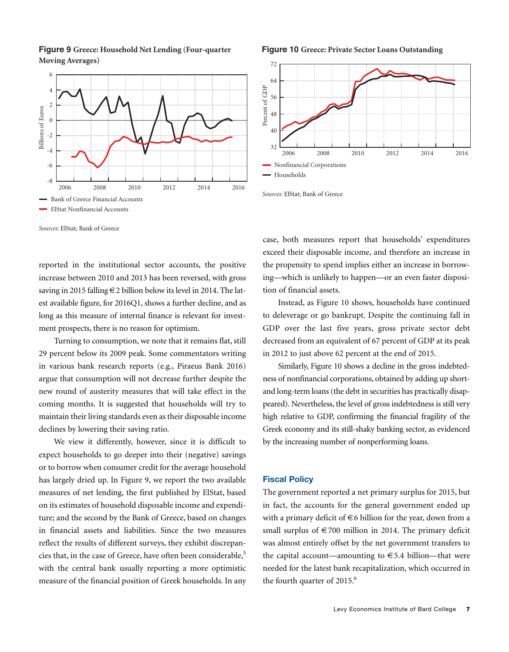**Figure 9 Greece: Household Net Lending (Four-quarter Moving Averages)**



**Figure 10 Greece: Private Sector Loans Outstanding**



*Sources:* ElStat; Bank of Greece

reported in the institutional sector accounts, the positive increase between 2010 and 2013 has been reversed, with gross saving in 2015 falling €2 billion below its level in 2014. The latest available figure, for 2016Q1, shows a further decline, and as long as this measure of internal finance is relevant for investment prospects, there is no reason for optimism.

Turning to consumption, we note that it remains flat, still 29 percent below its 2009 peak. Some commentators writing in various bank research reports (e.g., Piraeus Bank 2016) argue that consumption will not decrease further despite the new round of austerity measures that will take effect in the coming months. It is suggested that households will try to maintain their living standards even as their disposable income declines by lowering their saving ratio.

We view it differently, however, since it is difficult to expect households to go deeper into their (negative) savings or to borrow when consumer credit for the average household has largely dried up. In Figure 9, we report the two available measures of net lending, the first published by ElStat, based on its estimates of household disposable income and expenditure; and the second by the Bank of Greece, based on changes in financial assets and liabilities. Since the two measures reflect the results of different surveys, they exhibit discrepancies that, in the case of Greece, have often been considerable, 5 with the central bank usually reporting a more optimistic measure of the financial position of Greek households. In any case, both measures report that households' expenditures exceed their disposable income, and therefore an increase in the propensity to spend implies either an increase in borrowing—which is unlikely to happen—or an even faster disposition of financial assets.

Instead, as Figure 10 shows, households have continued to deleverage or go bankrupt. Despite the continuing fall in GDP over the last five years, gross private sector debt decreased from an equivalent of 67 percent of GDP at its peak in 2012 to just above 62 percent at the end of 2015.

Similarly, Figure 10 shows a decline in the gross indebtedness of nonfinancial corporations, obtained by adding up shortand long-term loans (the debt in securities has practically disappeared). Nevertheless, the level of gross indebtedness is still very high relative to GDP, confirming the financial fragility of the Greek economy and its still-shaky banking sector, as evidenced by the increasing number of nonperforming loans.

#### **Fiscal Policy**

The government reported a net primary surplus for 2015, but in fact, the accounts for the general government ended up with a primary deficit of  $\in$  6 billion for the year, down from a small surplus of  $\in$  700 million in 2014. The primary deficit was almost entirely offset by the net government transfers to the capital account—amounting to  $\in$  5.4 billion—that were needed for the latest bank recapitalization, which occurred in the fourth quarter of 2015. 6

*Sources:* ElStat; Bank of Greece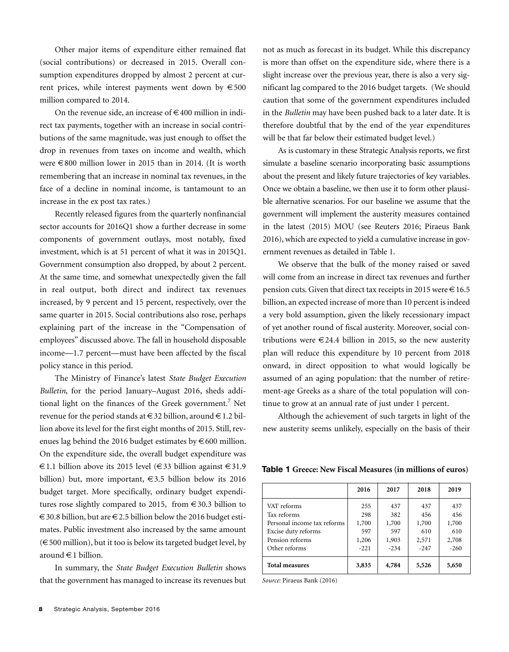Other major items of expenditure either remained flat (social contributions) or decreased in 2015. Overall consumption expenditures dropped by almost 2 percent at current prices, while interest payments went down by  $\epsilon$ 500 million compared to 2014.

On the revenue side, an increase of  $\in$  400 million in indirect tax payments, together with an increase in social contributions of the same magnitude, was just enough to offset the drop in revenues from taxes on income and wealth, which were €800 million lower in 2015 than in 2014. (It is worth remembering that an increase in nominal tax revenues, in the face of a decline in nominal income, is tantamount to an increase in the ex post tax rates.)

Recently released figures from the quarterly nonfinancial sector accounts for 2016Q1 show a further decrease in some components of government outlays, most notably, fixed investment, which is at 51 percent of what it was in 2015Q1. Government consumption also dropped, by about 2 percent. At the same time, and somewhat unexpectedly given the fall in real output, both direct and indirect tax revenues increased, by 9 percent and 15 percent, respectively, over the same quarter in 2015. Social contributions also rose, perhaps explaining part of the increase in the "Compensation of employees" discussed above. The fall in household disposable income—1.7 percent—must have been affected by the fiscal policy stance in this period.

The Ministry of Finance's latest *State Budget Execution Bulletin*, for the period January–August 2016, sheds additional light on the finances of the Greek government. <sup>7</sup> Net revenue for the period stands at  $\in$  32 billion, around  $\in$  1.2 billion above its level for the first eight months of 2015. Still, revenues lag behind the 2016 budget estimates by  $\epsilon$  600 million. On the expenditure side, the overall budget expenditure was €1.1 billion above its 2015 level (€33 billion against €31.9 billion) but, more important,  $\epsilon$ 3.5 billion below its 2016 budget target. More specifically, ordinary budget expenditures rose slightly compared to 2015, from  $\in$  30.3 billion to  $\epsilon$  30.8 billion, but are  $\epsilon$  2.5 billion below the 2016 budget estimates. Public investment also increased by the same amount  $(\in$  500 million), but it too is below its targeted budget level, by around €1 billion.

In summary, the *State Budget Execution Bulletin* shows that the government has managed to increase its revenues but not as much as forecast in its budget. While this discrepancy is more than offset on the expenditure side, where there is a slight increase over the previous year, there is also a very significant lag compared to the 2016 budget targets. (We should caution that some of the government expenditures included in the *Bulletin* may have been pushed back to a later date. It is therefore doubtful that by the end of the year expenditures will be that far below their estimated budget level.)

As is customary in these Strategic Analysis reports, we first simulate a baseline scenario incorporating basic assumptions about the present and likely future trajectories of key variables. Once we obtain a baseline, we then use it to form other plausible alternative scenarios. For our baseline we assume that the government will implement the austerity measures contained in the latest (2015) MOU (see Reuters 2016; Piraeus Bank 2016), which are expected to yield a cumulative increase in government revenues as detailed in Table 1.

We observe that the bulk of the money raised or saved will come from an increase in direct tax revenues and further pension cuts. Given that direct tax receipts in 2015 were  $\in$  16.5 billion, an expected increase of more than 10 percent is indeed a very bold assumption, given the likely recessionary impact of yet another round of fiscal austerity. Moreover, social contributions were  $\in$  24.4 billion in 2015, so the new austerity plan will reduce this expenditure by 10 percent from 2018 onward, in direct opposition to what would logically be assumed of an aging population: that the number of retirement-age Greeks as a share of the total population will continue to grow at an annual rate of just under 1 percent.

Although the achievement of such targets in light of the new austerity seems unlikely, especially on the basis of their

**Table 1 Greece: New Fiscal Measures (in millions of euros)**

|                             | 2016   | 2017   | 2018   | 2019   |
|-----------------------------|--------|--------|--------|--------|
| VAT reforms                 | 255    | 437    | 437    | 437    |
| Tax reforms                 | 298    | 382    | 456    | 456    |
| Personal income tax reforms | 1,700  | 1,700  | 1,700  | 1,700  |
| Excise duty reforms         | 597    | 597    | 610    | 610    |
| Pension reforms             | 1,206  | 1,903  | 2,571  | 2,708  |
| Other reforms               | $-221$ | $-234$ | $-247$ | $-260$ |
| <b>Total measures</b>       | 3,835  | 4,784  | 5,526  | 5,650  |

*Source:* Piraeus Bank (2016)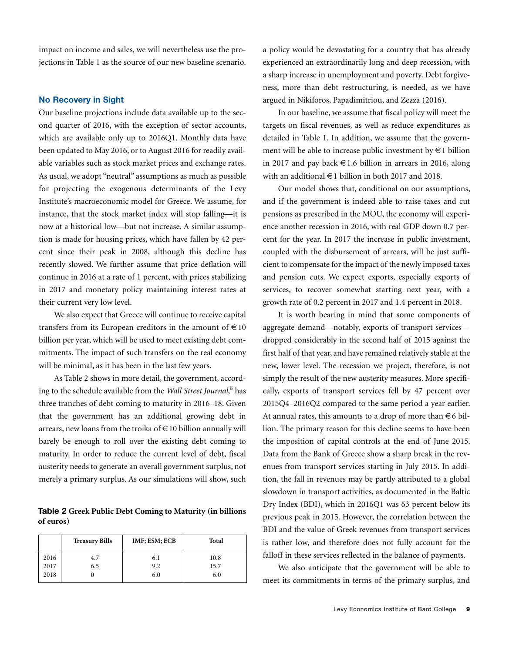impact on income and sales, we will nevertheless use the projections in Table 1 as the source of our new baseline scenario.

#### **No Recovery in Sight**

Our baseline projections include data available up to the second quarter of 2016, with the exception of sector accounts, which are available only up to 2016Q1. Monthly data have been updated to May 2016, or to August 2016 for readily available variables such as stock market prices and exchange rates. As usual, we adopt "neutral" assumptions as much as possible for projecting the exogenous determinants of the Levy Institute's macroeconomic model for Greece. We assume, for instance, that the stock market index will stop falling—it is now at a historical low—but not increase. A similar assumption is made for housing prices, which have fallen by 42 percent since their peak in 2008, although this decline has recently slowed. We further assume that price deflation will continue in 2016 at a rate of 1 percent, with prices stabilizing in 2017 and monetary policy maintaining interest rates at their current very low level.

We also expect that Greece will continue to receive capital transfers from its European creditors in the amount of  $\in$  10 billion per year, which will be used to meet existing debt commitments. The impact of such transfers on the real economy will be minimal, as it has been in the last few years.

As Table 2 shows in more detail, the government, according to the schedule available from the *Wall Street Journal*, <sup>8</sup> has three tranches of debt coming to maturity in 2016–18. Given that the government has an additional growing debt in arrears, new loans from the troika of €10 billion annually will barely be enough to roll over the existing debt coming to maturity. In order to reduce the current level of debt, fiscal austerity needs to generate an overall government surplus, not merely a primary surplus. As our simulations will show, such

**Table 2 Greek Public Debt Coming to Maturity (in billions of euros)**

|                      | <b>Treasury Bills</b> | IMF; ESM; ECB     | Total               |
|----------------------|-----------------------|-------------------|---------------------|
| 2016<br>2017<br>2018 | 4.7<br>6.5            | 6.1<br>9.2<br>6.0 | 10.8<br>15.7<br>6.0 |

a policy would be devastating for a country that has already experienced an extraordinarily long and deep recession, with a sharp increase in unemployment and poverty. Debt forgiveness, more than debt restructuring, is needed, as we have argued in Nikiforos, Papadimitriou, and Zezza (2016).

In our baseline, we assume that fiscal policy will meet the targets on fiscal revenues, as well as reduce expenditures as detailed in Table 1. In addition, we assume that the government will be able to increase public investment by  $\in$  1 billion in 2017 and pay back  $\in$  1.6 billion in arrears in 2016, along with an additional  $\in$  1 billion in both 2017 and 2018.

Our model shows that, conditional on our assumptions, and if the government is indeed able to raise taxes and cut pensions as prescribed in the MOU, the economy will experience another recession in 2016, with real GDP down 0.7 percent for the year. In 2017 the increase in public investment, coupled with the disbursement of arrears, will be just sufficient to compensate for the impact of the newly imposed taxes and pension cuts. We expect exports, especially exports of services, to recover somewhat starting next year, with a growth rate of 0.2 percent in 2017 and 1.4 percent in 2018.

It is worth bearing in mind that some components of aggregate demand—notably, exports of transport services dropped considerably in the second half of 2015 against the first half of that year, and have remained relatively stable at the new, lower level. The recession we project, therefore, is not simply the result of the new austerity measures. More specifically, exports of transport services fell by 47 percent over 2015Q4–2016Q2 compared to the same period a year earlier. At annual rates, this amounts to a drop of more than  $\in$  6 billion. The primary reason for this decline seems to have been the imposition of capital controls at the end of June 2015. Data from the Bank of Greece show a sharp break in the revenues from transport services starting in July 2015. In addition, the fall in revenues may be partly attributed to a global slowdown in transport activities, as documented in the Baltic Dry Index (BDI), which in 2016Q1 was 63 percent below its previous peak in 2015. However, the correlation between the BDI and the value of Greek revenues from transport services is rather low, and therefore does not fully account for the falloff in these services reflected in the balance of payments.

We also anticipate that the government will be able to meet its commitments in terms of the primary surplus, and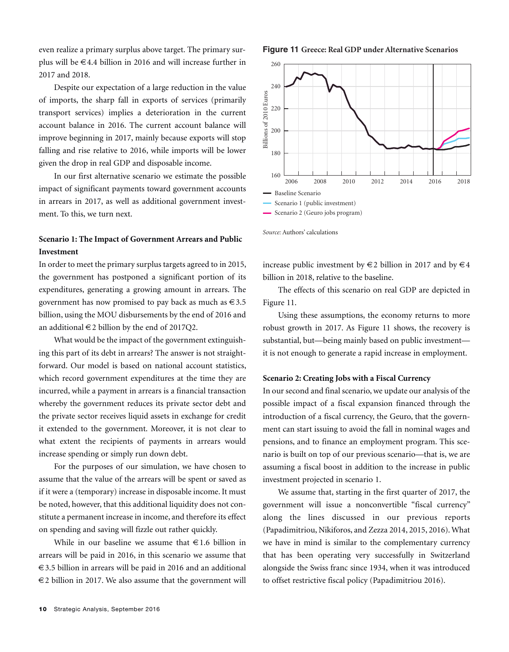even realize a primary surplus above target. The primary surplus will be €4.4 billion in 2016 and will increase further in 2017 and 2018.

Despite our expectation of a large reduction in the value of imports, the sharp fall in exports of services (primarily transport services) implies a deterioration in the current account balance in 2016. The current account balance will improve beginning in 2017, mainly because exports will stop falling and rise relative to 2016, while imports will be lower given the drop in real GDP and disposable income.

In our first alternative scenario we estimate the possible impact of significant payments toward government accounts in arrears in 2017, as well as additional government investment. To this, we turn next.

## **Scenario 1: The Impact of Government Arrears and Public Investment**

In order to meet the primary surplus targets agreed to in 2015, the government has postponed a significant portion of its expenditures, generating a growing amount in arrears. The government has now promised to pay back as much as  $\in$  3.5 billion, using the MOU disbursements by the end of 2016 and an additional  $\in$  2 billion by the end of 2017Q2.

What would be the impact of the government extinguishing this part of its debt in arrears? The answer is not straightforward. Our model is based on national account statistics, which record government expenditures at the time they are incurred, while a payment in arrears is a financial transaction whereby the government reduces its private sector debt and the private sector receives liquid assets in exchange for credit it extended to the government. Moreover, it is not clear to what extent the recipients of payments in arrears would increase spending or simply run down debt.

For the purposes of our simulation, we have chosen to assume that the value of the arrears will be spent or saved as if it were a (temporary) increase in disposable income. It must be noted, however, that this additional liquidity does not constitute a permanent increase in income, and therefore its effect on spending and saving will fizzle out rather quickly.

While in our baseline we assume that  $\in$  1.6 billion in arrears will be paid in 2016, in this scenario we assume that €3.5 billion in arrears will be paid in 2016 and an additional  $\epsilon$ 2 billion in 2017. We also assume that the government will

#### **Figure 11 Greece: Real GDP under Alternative Scenarios**



*Source:* Authors' calculations

increase public investment by  $\in$  2 billion in 2017 and by  $\in$  4 billion in 2018, relative to the baseline.

The effects of this scenario on real GDP are depicted in Figure 11.

Using these assumptions, the economy returns to more robust growth in 2017. As Figure 11 shows, the recovery is substantial, but—being mainly based on public investment it is not enough to generate a rapid increase in employment.

#### **Scenario 2: Creating Jobs with a Fiscal Currency**

In our second and final scenario, we update our analysis of the possible impact of a fiscal expansion financed through the introduction of a fiscal currency, the Geuro, that the government can start issuing to avoid the fall in nominal wages and pensions, and to finance an employment program. This scenario is built on top of our previous scenario—that is, we are assuming a fiscal boost in addition to the increase in public investment projected in scenario 1.

We assume that, starting in the first quarter of 2017, the government will issue a nonconvertible "fiscal currency" along the lines discussed in our previous reports (Papadimitriou, Nikiforos, and Zezza 2014, 2015, 2016).What we have in mind is similar to the complementary currency that has been operating very successfully in Switzerland alongside the Swiss franc since 1934, when it was introduced to offset restrictive fiscal policy (Papadimitriou 2016).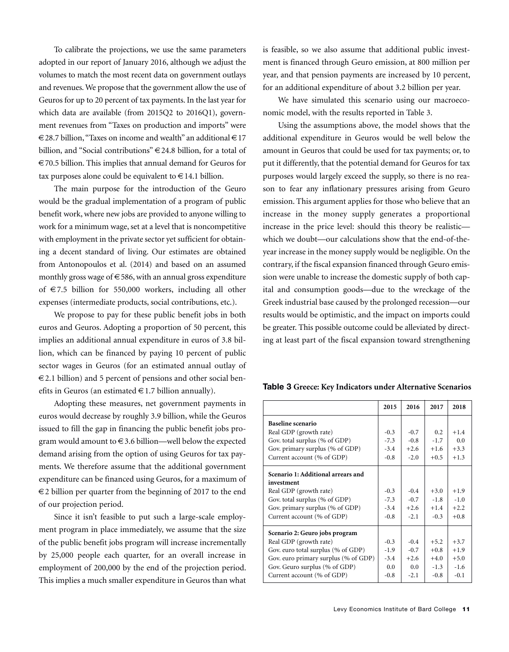To calibrate the projections, we use the same parameters adopted in our report of January 2016, although we adjust the volumes to match the most recent data on government outlays and revenues.We propose that the government allow the use of Geuros for up to 20 percent of tax payments. In the last year for which data are available (from 2015Q2 to 2016Q1), government revenues from "Taxes on production and imports" were €28.7 billion, "Taxes on income and wealth" an additional €17 billion, and "Social contributions" €24.8 billion, for a total of €70.5 billion. This implies that annual demand for Geuros for tax purposes alone could be equivalent to  $\in$  14.1 billion.

The main purpose for the introduction of the Geuro would be the gradual implementation of a program of public benefit work, where new jobs are provided to anyone willing to work for a minimum wage, set at a level that is noncompetitive with employment in the private sector yet sufficient for obtaining a decent standard of living. Our estimates are obtained from Antonopoulos et al. (2014) and based on an assumed monthly gross wage of  $\in$  586, with an annual gross expenditure of €7.5 billion for 550,000 workers, including all other expenses (intermediate products, social contributions, etc.).

We propose to pay for these public benefit jobs in both euros and Geuros. Adopting a proportion of 50 percent, this implies an additional annual expenditure in euros of 3.8 billion, which can be financed by paying 10 percent of public sector wages in Geuros (for an estimated annual outlay of  $\epsilon$ 2.1 billion) and 5 percent of pensions and other social benefits in Geuros (an estimated  $\in$  1.7 billion annually).

Adopting these measures, net government payments in euros would decrease by roughly 3.9 billion, while the Geuros issued to fill the gap in financing the public benefit jobs program would amount to  $\in$  3.6 billion—well below the expected demand arising from the option of using Geuros for tax payments. We therefore assume that the additional government expenditure can be financed using Geuros, for a maximum of €2 billion per quarter from the beginning of 2017 to the end of our projection period.

Since it isn't feasible to put such a large-scale employment program in place immediately, we assume that the size of the public benefit jobs program will increase incrementally by 25,000 people each quarter, for an overall increase in employment of 200,000 by the end of the projection period. This implies a much smaller expenditure in Geuros than what

is feasible, so we also assume that additional public investment is financed through Geuro emission, at 800 million per year, and that pension payments are increased by 10 percent, for an additional expenditure of about 3.2 billion per year.

We have simulated this scenario using our macroeconomic model, with the results reported in Table 3.

Using the assumptions above, the model shows that the additional expenditure in Geuros would be well below the amount in Geuros that could be used for tax payments; or, to put it differently, that the potential demand for Geuros for tax purposes would largely exceed the supply, so there is no reason to fear any inflationary pressures arising from Geuro emission. This argument applies for those who believe that an increase in the money supply generates a proportional increase in the price level: should this theory be realistic which we doubt—our calculations show that the end-of-theyear increase in the money supply would be negligible. On the contrary, if the fiscal expansion financed through Geuro emission were unable to increase the domestic supply of both capital and consumption goods—due to the wreckage of the Greek industrial base caused by the prolonged recession—our results would be optimistic, and the impact on imports could be greater. This possible outcome could be alleviated by directing at least part of the fiscal expansion toward strengthening

|  |  | Table 3 Greece: Key Indicators under Alternative Scenarios |
|--|--|------------------------------------------------------------|
|--|--|------------------------------------------------------------|

|                                      | 2015   | 2016   | 2017   | 2018   |
|--------------------------------------|--------|--------|--------|--------|
| Baseline scenario                    |        |        |        |        |
| Real GDP (growth rate)               | $-0.3$ | $-0.7$ | 0.2    | $+1.4$ |
| Gov. total surplus (% of GDP)        | $-7.3$ | $-0.8$ | $-1.7$ | 0.0    |
| Gov. primary surplus (% of GDP)      | $-3.4$ | $+2.6$ | $+1.6$ | $+3.3$ |
| Current account (% of GDP)           | $-0.8$ | $-2.0$ | $+0.5$ | $+1.3$ |
| Scenario 1: Additional arrears and   |        |        |        |        |
| investment                           |        |        |        |        |
| Real GDP (growth rate)               | $-0.3$ | $-0.4$ | $+3.0$ | $+1.9$ |
| Gov. total surplus (% of GDP)        | $-7.3$ | $-0.7$ | $-1.8$ | $-1.0$ |
| Gov. primary surplus (% of GDP)      | $-3.4$ | $+2.6$ | $+1.4$ | $+2.2$ |
| Current account (% of GDP)           | $-0.8$ | $-2.1$ | $-0.3$ | $+0.8$ |
| Scenario 2: Geuro jobs program       |        |        |        |        |
| Real GDP (growth rate)               | $-0.3$ | $-0.4$ | $+5.2$ | $+3.7$ |
| Gov. euro total surplus (% of GDP)   | $-1.9$ | $-0.7$ | $+0.8$ | $+1.9$ |
| Gov. euro primary surplus (% of GDP) | $-3.4$ | $+2.6$ | $+4.0$ | $+5.0$ |
| Gov. Geuro surplus (% of GDP)        | 0.0    | 0.0    | $-1.3$ | $-1.6$ |
| Current account (% of GDP)           | $-0.8$ | $-2.1$ | $-0.8$ | $-0.1$ |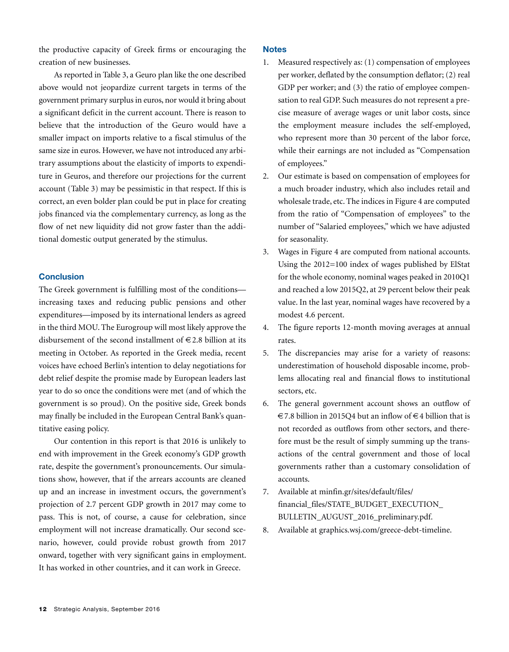the productive capacity of Greek firms or encouraging the creation of new businesses.

As reported in Table 3, a Geuro plan like the one described above would not jeopardize current targets in terms of the government primary surplus in euros, nor would it bring about a significant deficit in the current account. There is reason to believe that the introduction of the Geuro would have a smaller impact on imports relative to a fiscal stimulus of the same size in euros. However, we have not introduced any arbitrary assumptions about the elasticity of imports to expenditure in Geuros, and therefore our projections for the current account (Table 3) may be pessimistic in that respect. If this is correct, an even bolder plan could be put in place for creating jobs financed via the complementary currency, as long as the flow of net new liquidity did not grow faster than the additional domestic output generated by the stimulus.

### **Conclusion**

The Greek government is fulfilling most of the conditions increasing taxes and reducing public pensions and other expenditures—imposed by its international lenders as agreed in the third MOU. The Eurogroup will most likely approve the disbursement of the second installment of  $\in$  2.8 billion at its meeting in October. As reported in the Greek media, recent voices have echoed Berlin's intention to delay negotiations for debt relief despite the promise made by European leaders last year to do so once the conditions were met (and of which the government is so proud). On the positive side, Greek bonds may finally be included in the European Central Bank's quantitative easing policy.

Our contention in this report is that 2016 is unlikely to end with improvement in the Greek economy's GDP growth rate, despite the government's pronouncements. Our simulations show, however, that if the arrears accounts are cleaned up and an increase in investment occurs, the government's projection of 2.7 percent GDP growth in 2017 may come to pass. This is not, of course, a cause for celebration, since employment will not increase dramatically. Our second scenario, however, could provide robust growth from 2017 onward, together with very significant gains in employment. It has worked in other countries, and it can work in Greece.

#### **Notes**

- 1. Measured respectively as: (1) compensation of employees per worker, deflated by the consumption deflator; (2) real GDP per worker; and (3) the ratio of employee compensation to real GDP. Such measures do not represent a precise measure of average wages or unit labor costs, since the employment measure includes the self-employed, who represent more than 30 percent of the labor force, while their earnings are not included as "Compensation of employees."
- 2. Our estimate is based on compensation of employees for a much broader industry, which also includes retail and wholesale trade, etc. The indices in Figure 4 are computed from the ratio of "Compensation of employees" to the number of "Salaried employees," which we have adjusted for seasonality.
- 3. Wages in Figure 4 are computed from national accounts. Using the 2012=100 index of wages published by ElStat for the whole economy, nominal wages peaked in 2010Q1 and reached a low 2015Q2, at 29 percent below their peak value. In the last year, nominal wages have recovered by a modest 4.6 percent.
- 4. The figure reports 12-month moving averages at annual rates.
- 5. The discrepancies may arise for a variety of reasons: underestimation of household disposable income, problems allocating real and financial flows to institutional sectors, etc.
- 6. The general government account shows an outflow of €7.8 billion in 2015Q4 but an inflow of €4 billion that is not recorded as outflows from other sectors, and therefore must be the result of simply summing up the transactions of the central government and those of local governments rather than a customary consolidation of accounts.
- 7. Available at minfin.gr/sites/default/files/ financial\_files/STATE\_BUDGET\_EXECUTION\_ BULLETIN\_AUGUST\_2016\_preliminary.pdf.
- 8. Available at graphics.wsj.com/greece-debt-timeline.